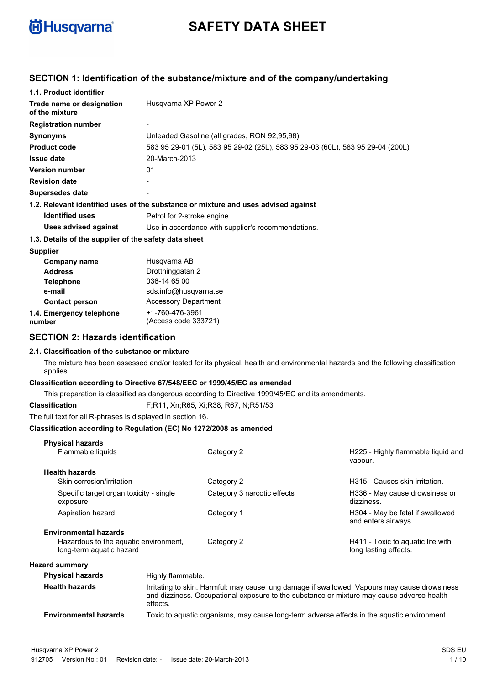

# **SAFETY DATA SHEET**

## **SECTION 1: Identification of the substance/mixture and of the company/undertaking**

| 1.1. Product identifier                               |                                                                                    |  |
|-------------------------------------------------------|------------------------------------------------------------------------------------|--|
| Trade name or designation<br>of the mixture           | Husqvarna XP Power 2                                                               |  |
| <b>Registration number</b>                            |                                                                                    |  |
| <b>Synonyms</b>                                       | Unleaded Gasoline (all grades, RON 92,95,98)                                       |  |
| <b>Product code</b>                                   | 583 95 29-01 (5L), 583 95 29-02 (25L), 583 95 29-03 (60L), 583 95 29-04 (200L)     |  |
| <b>Issue date</b>                                     | 20-March-2013                                                                      |  |
| <b>Version number</b>                                 | 01                                                                                 |  |
| <b>Revision date</b>                                  |                                                                                    |  |
| Supersedes date                                       |                                                                                    |  |
|                                                       | 1.2. Relevant identified uses of the substance or mixture and uses advised against |  |
| <b>Identified uses</b>                                | Petrol for 2-stroke engine.                                                        |  |
| Uses advised against                                  | Use in accordance with supplier's recommendations.                                 |  |
| 1.3. Details of the supplier of the safety data sheet |                                                                                    |  |
| <b>Supplier</b>                                       |                                                                                    |  |
| Company name                                          | Husqvarna AB                                                                       |  |
| <b>Address</b>                                        | Drottninggatan 2                                                                   |  |
| <b>Telephone</b>                                      | 036-14 65 00                                                                       |  |
| e-mail                                                | sds.info@husqvarna.se                                                              |  |
| <b>Contact person</b>                                 | <b>Accessory Department</b>                                                        |  |
| 1.4. Emergency telephone                              | +1-760-476-3961                                                                    |  |
| number<br>$\blacksquare$                              | (Access code 333721)                                                               |  |

## **SECTION 2: Hazards identification**

#### **2.1. Classification of the substance or mixture**

The mixture has been assessed and/or tested for its physical, health and environmental hazards and the following classification applies.

#### **Classification according to Directive 67/548/EEC or 1999/45/EC as amended**

This preparation is classified as dangerous according to Directive 1999/45/EC and its amendments.

**Classification** F;R11, Xn;R65, Xi;R38, R67, N;R51/53

The full text for all R-phrases is displayed in section 16.

#### **Classification according to Regulation (EC) No 1272/2008 as amended**

| <b>Physical hazards</b>                                           |                                                                                                                                                                                                        |                             |                                                            |
|-------------------------------------------------------------------|--------------------------------------------------------------------------------------------------------------------------------------------------------------------------------------------------------|-----------------------------|------------------------------------------------------------|
| Flammable liquids                                                 |                                                                                                                                                                                                        | Category 2                  | H225 - Highly flammable liquid and<br>vapour.              |
| <b>Health hazards</b>                                             |                                                                                                                                                                                                        |                             |                                                            |
| Skin corrosion/irritation                                         |                                                                                                                                                                                                        | Category 2                  | H315 - Causes skin irritation.                             |
| Specific target organ toxicity - single<br>exposure               |                                                                                                                                                                                                        | Category 3 narcotic effects | H336 - May cause drowsiness or<br>dizziness.               |
| Aspiration hazard                                                 |                                                                                                                                                                                                        | Category 1                  | H304 - May be fatal if swallowed<br>and enters airways.    |
| <b>Environmental hazards</b>                                      |                                                                                                                                                                                                        |                             |                                                            |
| Hazardous to the aquatic environment,<br>long-term aguatic hazard |                                                                                                                                                                                                        | Category 2                  | H411 - Toxic to aguatic life with<br>long lasting effects. |
| <b>Hazard summary</b>                                             |                                                                                                                                                                                                        |                             |                                                            |
| <b>Physical hazards</b>                                           | Highly flammable.                                                                                                                                                                                      |                             |                                                            |
| <b>Health hazards</b>                                             | Irritating to skin. Harmful: may cause lung damage if swallowed. Vapours may cause drowsiness<br>and dizziness. Occupational exposure to the substance or mixture may cause adverse health<br>effects. |                             |                                                            |
| <b>Environmental hazards</b>                                      | Toxic to aquatic organisms, may cause long-term adverse effects in the aquatic environment.                                                                                                            |                             |                                                            |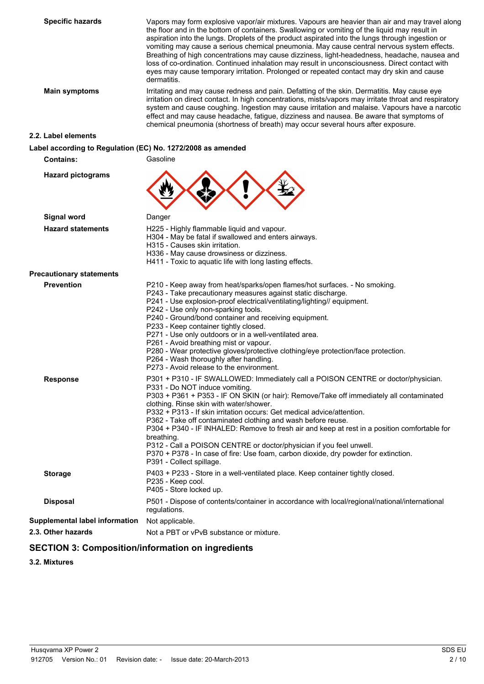**Specific hazards** Vapors may form explosive vapor/air mixtures. Vapours are heavier than air and may travel along the floor and in the bottom of containers. Swallowing or vomiting of the liquid may result in aspiration into the lungs. Droplets of the product aspirated into the lungs through ingestion or vomiting may cause a serious chemical pneumonia. May cause central nervous system effects. Breathing of high concentrations may cause dizziness, light-headedness, headache, nausea and loss of co-ordination. Continued inhalation may result in unconsciousness. Direct contact with eyes may cause temporary irritation. Prolonged or repeated contact may dry skin and cause dermatitis. **Main symptoms** Irritating and may cause redness and pain. Defatting of the skin. Dermatitis. May cause eye irritation on direct contact. In high concentrations, mists/vapors may irritate throat and respiratory system and cause coughing. Ingestion may cause irritation and malaise. Vapours have a narcotic effect and may cause headache, fatigue, dizziness and nausea. Be aware that symptoms of chemical pneumonia (shortness of breath) may occur several hours after exposure. **2.2. Label elements Label according to Regulation (EC) No. 1272/2008 as amended Contains:** Gasoline **Hazard pictograms Signal word** Danger **Hazard statements** H225 - Highly flammable liquid and vapour. H304 - May be fatal if swallowed and enters airways. H315 - Causes skin irritation. H336 - May cause drowsiness or dizziness. H411 - Toxic to aquatic life with long lasting effects. **Precautionary statements Prevention P210 - Keep away from heat/sparks/open flames/hot surfaces. - No smoking.** P243 - Take precautionary measures against static discharge. P241 - Use explosion-proof electrical/ventilating/lighting// equipment. P242 - Use only non-sparking tools. P240 - Ground/bond container and receiving equipment. P233 - Keep container tightly closed. P271 - Use only outdoors or in a well-ventilated area. P261 - Avoid breathing mist or vapour. P280 - Wear protective gloves/protective clothing/eye protection/face protection. P264 - Wash thoroughly after handling. P273 - Avoid release to the environment. Response **P301** + P310 - IF SWALLOWED: Immediately call a POISON CENTRE or doctor/physician. P331 - Do NOT induce vomiting. P303 + P361 + P353 - IF ON SKIN (or hair): Remove/Take off immediately all contaminated clothing. Rinse skin with water/shower. P332 + P313 - If skin irritation occurs: Get medical advice/attention. P362 - Take off contaminated clothing and wash before reuse. P304 + P340 - IF INHALED: Remove to fresh air and keep at rest in a position comfortable for breathing.

P312 - Call a POISON CENTRE or doctor/physician if you feel unwell.

**Disposal** P501 - Dispose of contents/container in accordance with local/regional/national/international

P391 - Collect spillage.

P235 - Keep cool. P405 - Store locked up.

regulations.

**2.3. Other hazards** Not a PBT or vPvB substance or mixture.

**SECTION 3: Composition/information on ingredients**

**Supplemental label information** Not applicable.

**Storage** P403 + P233 - Store in a well-ventilated place. Keep container tightly closed.

P370 + P378 - In case of fire: Use foam, carbon dioxide, dry powder for extinction.

**3.2. Mixtures**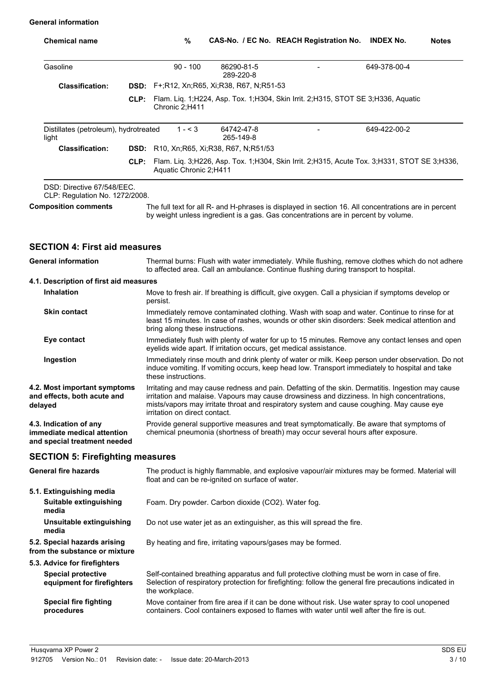#### **General information**

| <b>Chemical name</b>                                                                  |      | %                                                                                                                                                                                                                                                                                                                              |                         | CAS-No. / EC No. REACH Registration No. | <b>INDEX No.</b> | <b>Notes</b> |
|---------------------------------------------------------------------------------------|------|--------------------------------------------------------------------------------------------------------------------------------------------------------------------------------------------------------------------------------------------------------------------------------------------------------------------------------|-------------------------|-----------------------------------------|------------------|--------------|
| Gasoline                                                                              |      | $90 - 100$                                                                                                                                                                                                                                                                                                                     | 86290-81-5<br>289-220-8 |                                         | 649-378-00-4     |              |
| <b>Classification:</b>                                                                |      | <b>DSD:</b> F+;R12, Xn;R65, Xi;R38, R67, N;R51-53                                                                                                                                                                                                                                                                              |                         |                                         |                  |              |
|                                                                                       | CLP: | Flam. Liq. 1;H224, Asp. Tox. 1;H304, Skin Irrit. 2;H315, STOT SE 3;H336, Aquatic<br>Chronic 2;H411                                                                                                                                                                                                                             |                         |                                         |                  |              |
| Distillates (petroleum), hydrotreated<br>light                                        |      | $1 - 3$                                                                                                                                                                                                                                                                                                                        | 64742-47-8<br>265-149-8 |                                         | 649-422-00-2     |              |
| <b>Classification:</b>                                                                |      | <b>DSD:</b> R10, Xn; R65, Xi; R38, R67, N; R51/53                                                                                                                                                                                                                                                                              |                         |                                         |                  |              |
|                                                                                       | CLP: | Flam. Liq. 3;H226, Asp. Tox. 1;H304, Skin Irrit. 2;H315, Acute Tox. 3;H331, STOT SE 3;H336,<br>Aquatic Chronic 2;H411                                                                                                                                                                                                          |                         |                                         |                  |              |
| DSD: Directive 67/548/EEC.<br>CLP: Regulation No. 1272/2008.                          |      |                                                                                                                                                                                                                                                                                                                                |                         |                                         |                  |              |
| <b>Composition comments</b>                                                           |      | The full text for all R- and H-phrases is displayed in section 16. All concentrations are in percent<br>by weight unless ingredient is a gas. Gas concentrations are in percent by volume.                                                                                                                                     |                         |                                         |                  |              |
|                                                                                       |      |                                                                                                                                                                                                                                                                                                                                |                         |                                         |                  |              |
| <b>SECTION 4: First aid measures</b>                                                  |      |                                                                                                                                                                                                                                                                                                                                |                         |                                         |                  |              |
| <b>General information</b>                                                            |      | Thermal burns: Flush with water immediately. While flushing, remove clothes which do not adhere<br>to affected area. Call an ambulance. Continue flushing during transport to hospital.                                                                                                                                        |                         |                                         |                  |              |
| 4.1. Description of first aid measures                                                |      |                                                                                                                                                                                                                                                                                                                                |                         |                                         |                  |              |
| Inhalation                                                                            |      | Move to fresh air. If breathing is difficult, give oxygen. Call a physician if symptoms develop or<br>persist.                                                                                                                                                                                                                 |                         |                                         |                  |              |
| Skin contact                                                                          |      | Immediately remove contaminated clothing. Wash with soap and water. Continue to rinse for at<br>least 15 minutes. In case of rashes, wounds or other skin disorders: Seek medical attention and<br>bring along these instructions.                                                                                             |                         |                                         |                  |              |
| Eye contact                                                                           |      | Immediately flush with plenty of water for up to 15 minutes. Remove any contact lenses and open<br>eyelids wide apart. If irritation occurs, get medical assistance.                                                                                                                                                           |                         |                                         |                  |              |
| Ingestion                                                                             |      | Immediately rinse mouth and drink plenty of water or milk. Keep person under observation. Do not<br>induce vomiting. If vomiting occurs, keep head low. Transport immediately to hospital and take<br>these instructions.                                                                                                      |                         |                                         |                  |              |
| 4.2. Most important symptoms<br>and effects, both acute and<br>delayed                |      | Irritating and may cause redness and pain. Defatting of the skin. Dermatitis. Ingestion may cause<br>irritation and malaise. Vapours may cause drowsiness and dizziness. In high concentrations,<br>mists/vapors may irritate throat and respiratory system and cause coughing. May cause eye<br>irritation on direct contact. |                         |                                         |                  |              |
| 4.3. Indication of any<br>immediate medical attention<br>and special treatment needed |      | Provide general supportive measures and treat symptomatically. Be aware that symptoms of<br>chemical pneumonia (shortness of breath) may occur several hours after exposure.                                                                                                                                                   |                         |                                         |                  |              |
| <b>SECTION 5: Firefighting measures</b>                                               |      |                                                                                                                                                                                                                                                                                                                                |                         |                                         |                  |              |
| <b>General fire hazards</b>                                                           |      | The product is highly flammable, and explosive vapour/air mixtures may be formed. Material will<br>float and can be re-ignited on surface of water.                                                                                                                                                                            |                         |                                         |                  |              |
| 5.1. Extinguishing media                                                              |      |                                                                                                                                                                                                                                                                                                                                |                         |                                         |                  |              |
| Suitable extinguishing<br>media                                                       |      | Foam. Dry powder. Carbon dioxide (CO2). Water fog.                                                                                                                                                                                                                                                                             |                         |                                         |                  |              |
| Unsuitable extinguishing<br>media                                                     |      | Do not use water jet as an extinguisher, as this will spread the fire.                                                                                                                                                                                                                                                         |                         |                                         |                  |              |
| 5.2. Special hazards arising<br>from the substance or mixture                         |      | By heating and fire, irritating vapours/gases may be formed.                                                                                                                                                                                                                                                                   |                         |                                         |                  |              |
| 5.3. Advice for firefighters                                                          |      |                                                                                                                                                                                                                                                                                                                                |                         |                                         |                  |              |
| <b>Special protective</b><br>equipment for firefighters                               |      | Self-contained breathing apparatus and full protective clothing must be worn in case of fire.<br>Selection of respiratory protection for firefighting: follow the general fire precautions indicated in                                                                                                                        |                         |                                         |                  |              |

the workplace. **Special fire fighting procedures** Move container from fire area if it can be done without risk. Use water spray to cool unopened containers. Cool containers exposed to flames with water until well after the fire is out.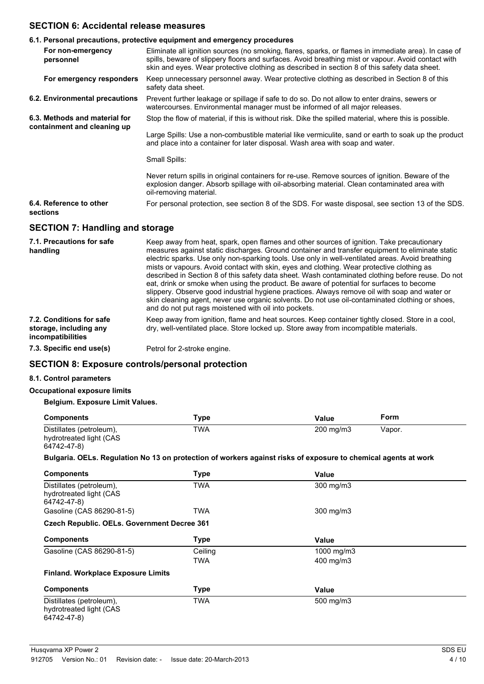### **SECTION 6: Accidental release measures**

|                                                              | 6.1. Personal precautions, protective equipment and emergency procedures                                                                                                                                                                                                                                                                                                                                                                                                                                                                                                                                                                                                                        |
|--------------------------------------------------------------|-------------------------------------------------------------------------------------------------------------------------------------------------------------------------------------------------------------------------------------------------------------------------------------------------------------------------------------------------------------------------------------------------------------------------------------------------------------------------------------------------------------------------------------------------------------------------------------------------------------------------------------------------------------------------------------------------|
| For non-emergency<br>personnel                               | Eliminate all ignition sources (no smoking, flares, sparks, or flames in immediate area). In case of<br>spills, beware of slippery floors and surfaces. Avoid breathing mist or vapour. Avoid contact with<br>skin and eyes. Wear protective clothing as described in section 8 of this safety data sheet.                                                                                                                                                                                                                                                                                                                                                                                      |
| For emergency responders                                     | Keep unnecessary personnel away. Wear protective clothing as described in Section 8 of this<br>safety data sheet.                                                                                                                                                                                                                                                                                                                                                                                                                                                                                                                                                                               |
| 6.2. Environmental precautions                               | Prevent further leakage or spillage if safe to do so. Do not allow to enter drains, sewers or<br>watercourses. Environmental manager must be informed of all major releases.                                                                                                                                                                                                                                                                                                                                                                                                                                                                                                                    |
| 6.3. Methods and material for<br>containment and cleaning up | Stop the flow of material, if this is without risk. Dike the spilled material, where this is possible.                                                                                                                                                                                                                                                                                                                                                                                                                                                                                                                                                                                          |
|                                                              | Large Spills: Use a non-combustible material like vermiculite, sand or earth to soak up the product<br>and place into a container for later disposal. Wash area with soap and water.                                                                                                                                                                                                                                                                                                                                                                                                                                                                                                            |
|                                                              | Small Spills:                                                                                                                                                                                                                                                                                                                                                                                                                                                                                                                                                                                                                                                                                   |
|                                                              | Never return spills in original containers for re-use. Remove sources of ignition. Beware of the<br>explosion danger. Absorb spillage with oil-absorbing material. Clean contaminated area with<br>oil-removing material.                                                                                                                                                                                                                                                                                                                                                                                                                                                                       |
| 6.4. Reference to other<br>sections                          | For personal protection, see section 8 of the SDS. For waste disposal, see section 13 of the SDS.                                                                                                                                                                                                                                                                                                                                                                                                                                                                                                                                                                                               |
| <b>SECTION 7: Handling and storage</b>                       |                                                                                                                                                                                                                                                                                                                                                                                                                                                                                                                                                                                                                                                                                                 |
| 7.1. Precautions for safe<br>handling                        | Keep away from heat, spark, open flames and other sources of ignition. Take precautionary<br>measures against static discharges. Ground container and transfer equipment to eliminate static<br>electric sparks. Use only non-sparking tools. Use only in well-ventilated areas. Avoid breathing<br>mists or vapours. Avoid contact with skin, eyes and clothing. Wear protective clothing as<br>described in Section 8 of this safety data sheet. Wash contaminated clothing before reuse. Do not<br>eat, drink or smoke when using the product. Be aware of potential for surfaces to become<br>slippery. Observe good industrial hygiene practices. Always remove oil with soap and water or |

skin cleaning agent, never use organic solvents. Do not use oil-contaminated clothing or shoes, and do not put rags moistened with oil into pockets. **7.2. Conditions for safe** Keep away from ignition, flame and heat sources. Keep container tightly closed. Store in a cool,

**storage, including any** dry, well-ventilated place. Store locked up. Store away from incompatible materials.

**7.3. Specific end use(s)** Petrol for 2-stroke engine.

### **SECTION 8: Exposure controls/personal protection**

#### **8.1. Control parameters**

**incompatibilities**

#### **Occupational exposure limits**

#### **Belgium. Exposure Limit Values.**

| <b>Components</b>        | Type | Value              | Form   |
|--------------------------|------|--------------------|--------|
| Distillates (petroleum), | TWA  | $200 \text{ mg/m}$ | Vapor. |
| hydrotreated light (CAS  |      |                    |        |
| 64742-47-8)              |      |                    |        |

**Bulgaria. OELs. Regulation No 13 on protection of workers against risks of exposure to chemical agents at work**

| <b>Components</b>                                                  | Type        | Value      |  |
|--------------------------------------------------------------------|-------------|------------|--|
| Distillates (petroleum),<br>hydrotreated light (CAS<br>64742-47-8) | TWA         | 300 mg/m3  |  |
| Gasoline (CAS 86290-81-5)                                          | <b>TWA</b>  | 300 mg/m3  |  |
| <b>Czech Republic. OELs. Government Decree 361</b>                 |             |            |  |
| <b>Components</b>                                                  | <b>Type</b> | Value      |  |
| Gasoline (CAS 86290-81-5)                                          | Ceiling     | 1000 mg/m3 |  |
|                                                                    | TWA         | 400 mg/m3  |  |
| <b>Finland. Workplace Exposure Limits</b>                          |             |            |  |
| <b>Components</b>                                                  | <b>Type</b> | Value      |  |
| Distillates (petroleum),<br>hydrotreated light (CAS<br>64742-47-8) | <b>TWA</b>  | 500 mg/m3  |  |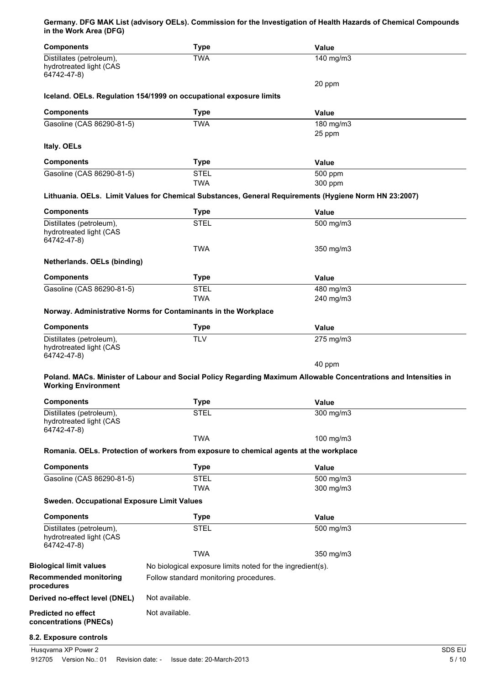#### **Germany. DFG MAK List (advisory OELs). Commission for the Investigation of Health Hazards of Chemical Compounds in the Work Area (DFG)**

| <b>Components</b>                                                  | <b>Type</b>                                                                                                      | <b>Value</b> |        |
|--------------------------------------------------------------------|------------------------------------------------------------------------------------------------------------------|--------------|--------|
| Distillates (petroleum),<br>hydrotreated light (CAS<br>64742-47-8) | <b>TWA</b>                                                                                                       | 140 mg/m3    |        |
|                                                                    |                                                                                                                  | 20 ppm       |        |
|                                                                    | Iceland. OELs. Regulation 154/1999 on occupational exposure limits                                               |              |        |
| <b>Components</b>                                                  | <b>Type</b>                                                                                                      | <b>Value</b> |        |
| Gasoline (CAS 86290-81-5)                                          | <b>TWA</b>                                                                                                       | 180 mg/m3    |        |
|                                                                    |                                                                                                                  | 25 ppm       |        |
| Italy. OELs                                                        |                                                                                                                  |              |        |
| <b>Components</b>                                                  | <b>Type</b>                                                                                                      | Value        |        |
| Gasoline (CAS 86290-81-5)                                          | <b>STEL</b>                                                                                                      | 500 ppm      |        |
|                                                                    | <b>TWA</b>                                                                                                       | 300 ppm      |        |
|                                                                    | Lithuania. OELs. Limit Values for Chemical Substances, General Requirements (Hygiene Norm HN 23:2007)            |              |        |
| <b>Components</b>                                                  | <b>Type</b>                                                                                                      | <b>Value</b> |        |
| Distillates (petroleum),                                           | <b>STEL</b>                                                                                                      | 500 mg/m3    |        |
| hydrotreated light (CAS<br>64742-47-8)                             |                                                                                                                  |              |        |
|                                                                    | <b>TWA</b>                                                                                                       | 350 mg/m3    |        |
| Netherlands. OELs (binding)                                        |                                                                                                                  |              |        |
| <b>Components</b>                                                  | <b>Type</b>                                                                                                      | <b>Value</b> |        |
| Gasoline (CAS 86290-81-5)                                          | <b>STEL</b>                                                                                                      | 480 mg/m3    |        |
|                                                                    | <b>TWA</b>                                                                                                       | 240 mg/m3    |        |
|                                                                    | Norway. Administrative Norms for Contaminants in the Workplace                                                   |              |        |
| <b>Components</b>                                                  | <b>Type</b>                                                                                                      | <b>Value</b> |        |
| Distillates (petroleum),                                           | <b>TLV</b>                                                                                                       | 275 mg/m3    |        |
| hydrotreated light (CAS<br>64742-47-8)                             |                                                                                                                  |              |        |
|                                                                    |                                                                                                                  | 40 ppm       |        |
|                                                                    | Poland. MACs. Minister of Labour and Social Policy Regarding Maximum Allowable Concentrations and Intensities in |              |        |
| <b>Working Environment</b>                                         |                                                                                                                  |              |        |
| <b>Components</b>                                                  | <b>Type</b>                                                                                                      | <b>Value</b> |        |
| Distillates (petroleum),                                           | <b>STEL</b>                                                                                                      | 300 mg/m3    |        |
| hydrotreated light (CAS                                            |                                                                                                                  |              |        |
| 64742-47-8)                                                        | <b>TWA</b>                                                                                                       | 100 mg/m3    |        |
|                                                                    | Romania. OELs. Protection of workers from exposure to chemical agents at the workplace                           |              |        |
|                                                                    |                                                                                                                  |              |        |
| <b>Components</b>                                                  | <b>Type</b>                                                                                                      | Value        |        |
| Gasoline (CAS 86290-81-5)                                          | <b>STEL</b><br><b>TWA</b>                                                                                        | 500 mg/m3    |        |
| <b>Sweden. Occupational Exposure Limit Values</b>                  |                                                                                                                  | 300 mg/m3    |        |
| <b>Components</b>                                                  | <b>Type</b>                                                                                                      | Value        |        |
| Distillates (petroleum),                                           | <b>STEL</b>                                                                                                      | 500 mg/m3    |        |
| hydrotreated light (CAS<br>64742-47-8)                             |                                                                                                                  |              |        |
|                                                                    | <b>TWA</b>                                                                                                       | 350 mg/m3    |        |
| <b>Biological limit values</b>                                     | No biological exposure limits noted for the ingredient(s).                                                       |              |        |
| <b>Recommended monitoring</b><br>procedures                        | Follow standard monitoring procedures.                                                                           |              |        |
| Derived no-effect level (DNEL)                                     | Not available.                                                                                                   |              |        |
| <b>Predicted no effect</b>                                         | Not available.                                                                                                   |              |        |
| concentrations (PNECs)                                             |                                                                                                                  |              |        |
| 8.2. Exposure controls                                             |                                                                                                                  |              |        |
| Husqvarna XP Power 2                                               |                                                                                                                  |              | SDS EU |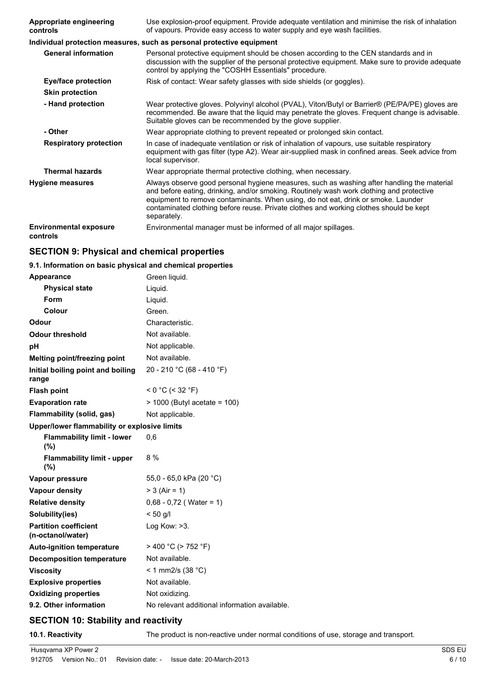| <b>Appropriate engineering</b><br>controls | Use explosion-proof equipment. Provide adequate ventilation and minimise the risk of inhalation<br>of vapours. Provide easy access to water supply and eye wash facilities.                                                                                                                                                                                                          |
|--------------------------------------------|--------------------------------------------------------------------------------------------------------------------------------------------------------------------------------------------------------------------------------------------------------------------------------------------------------------------------------------------------------------------------------------|
|                                            | Individual protection measures, such as personal protective equipment                                                                                                                                                                                                                                                                                                                |
| <b>General information</b>                 | Personal protective equipment should be chosen according to the CEN standards and in<br>discussion with the supplier of the personal protective equipment. Make sure to provide adequate<br>control by applying the "COSHH Essentials" procedure.                                                                                                                                    |
| Eye/face protection                        | Risk of contact: Wear safety glasses with side shields (or goggles).                                                                                                                                                                                                                                                                                                                 |
| <b>Skin protection</b>                     |                                                                                                                                                                                                                                                                                                                                                                                      |
| - Hand protection                          | Wear protective gloves. Polyvinyl alcohol (PVAL), Viton/Butyl or Barrier® (PE/PA/PE) gloves are<br>recommended. Be aware that the liquid may penetrate the gloves. Frequent change is advisable.<br>Suitable gloves can be recommended by the glove supplier.                                                                                                                        |
| - Other                                    | Wear appropriate clothing to prevent repeated or prolonged skin contact.                                                                                                                                                                                                                                                                                                             |
| <b>Respiratory protection</b>              | In case of inadequate ventilation or risk of inhalation of vapours, use suitable respiratory<br>equipment with gas filter (type A2). Wear air-supplied mask in confined areas. Seek advice from<br>local supervisor.                                                                                                                                                                 |
| <b>Thermal hazards</b>                     | Wear appropriate thermal protective clothing, when necessary.                                                                                                                                                                                                                                                                                                                        |
| Hygiene measures                           | Always observe good personal hygiene measures, such as washing after handling the material<br>and before eating, drinking, and/or smoking. Routinely wash work clothing and protective<br>equipment to remove contaminants. When using, do not eat, drink or smoke. Launder<br>contaminated clothing before reuse. Private clothes and working clothes should be kept<br>separately. |
| <b>Environmental exposure</b><br>controls  | Environmental manager must be informed of all major spillages.                                                                                                                                                                                                                                                                                                                       |

## **SECTION 9: Physical and chemical properties**

## **9.1. Information on basic physical and chemical properties**

| Appearance                                        | Green liquid.                                 |
|---------------------------------------------------|-----------------------------------------------|
| <b>Physical state</b>                             | Liquid.                                       |
| Form                                              | Liquid.                                       |
| Colour                                            | Green.                                        |
| Odour                                             | Characteristic.                               |
| <b>Odour threshold</b>                            | Not available.                                |
| рH                                                | Not applicable.                               |
| <b>Melting point/freezing point</b>               | Not available.                                |
| Initial boiling point and boiling<br>range        | 20 - 210 °C (68 - 410 °F)                     |
| <b>Flash point</b>                                | $< 0 °C$ (< 32 °F)                            |
| <b>Evaporation rate</b>                           | $> 1000$ (Butyl acetate = 100)                |
| Flammability (solid, gas)                         | Not applicable.                               |
| Upper/lower flammability or explosive limits      |                                               |
| <b>Flammability limit - lower</b><br>(%)          | 0,6                                           |
| <b>Flammability limit - upper</b><br>(%)          | $8\%$                                         |
| Vapour pressure                                   | 55,0 - 65,0 kPa (20 °C)                       |
| <b>Vapour density</b>                             | $> 3$ (Air = 1)                               |
| <b>Relative density</b>                           | $0,68 - 0,72$ (Water = 1)                     |
| Solubility(ies)                                   | $< 50$ g/l                                    |
| <b>Partition coefficient</b><br>(n-octanol/water) | Log Kow: >3.                                  |
| <b>Auto-ignition temperature</b>                  | > 400 °C (> 752 °F)                           |
| <b>Decomposition temperature</b>                  | Not available.                                |
| <b>Viscosity</b>                                  | < 1 mm2/s (38 °C)                             |
| <b>Explosive properties</b>                       | Not available.                                |
| <b>Oxidizing properties</b>                       | Not oxidizing.                                |
| 9.2. Other information                            | No relevant additional information available. |

## **SECTION 10: Stability and reactivity**

**10.1. Reactivity** The product is non-reactive under normal conditions of use, storage and transport.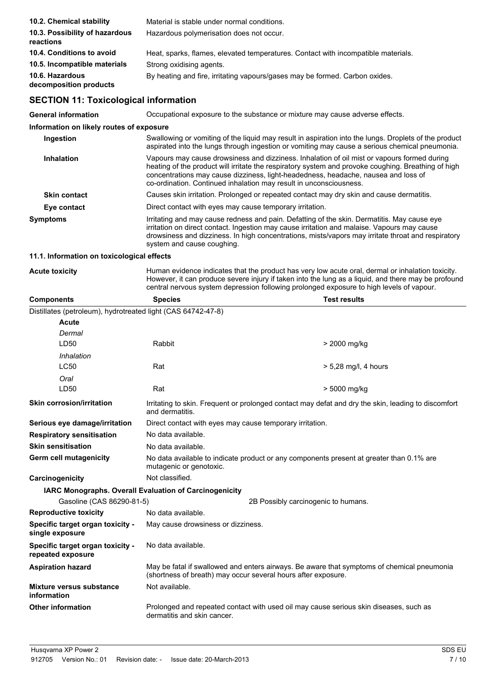| 10.2. Chemical stability                    | Material is stable under normal conditions.                                       |
|---------------------------------------------|-----------------------------------------------------------------------------------|
| 10.3. Possibility of hazardous<br>reactions | Hazardous polymerisation does not occur.                                          |
| 10.4. Conditions to avoid                   | Heat, sparks, flames, elevated temperatures. Contact with incompatible materials. |
| 10.5. Incompatible materials                | Strong oxidising agents.                                                          |
| 10.6. Hazardous<br>decomposition products   | By heating and fire, irritating vapours/gases may be formed. Carbon oxides.       |

## **SECTION 11: Toxicological information**

| <b>General information</b>               | Occupational exposure to the substance or mixture may cause adverse effects.                                                                                                                                                                                                                                                                                   |  |  |
|------------------------------------------|----------------------------------------------------------------------------------------------------------------------------------------------------------------------------------------------------------------------------------------------------------------------------------------------------------------------------------------------------------------|--|--|
| Information on likely routes of exposure |                                                                                                                                                                                                                                                                                                                                                                |  |  |
| Ingestion                                | Swallowing or vomiting of the liquid may result in aspiration into the lungs. Droplets of the product<br>aspirated into the lungs through ingestion or vomiting may cause a serious chemical pneumonia.                                                                                                                                                        |  |  |
| <b>Inhalation</b>                        | Vapours may cause drowsiness and dizziness. Inhalation of oil mist or vapours formed during<br>heating of the product will irritate the respiratory system and provoke coughing. Breathing of high<br>concentrations may cause dizziness, light-headedness, headache, nausea and loss of<br>co-ordination. Continued inhalation may result in unconsciousness. |  |  |
| <b>Skin contact</b>                      | Causes skin irritation. Prolonged or repeated contact may dry skin and cause dermatitis.                                                                                                                                                                                                                                                                       |  |  |
| Eye contact                              | Direct contact with eyes may cause temporary irritation.                                                                                                                                                                                                                                                                                                       |  |  |
| <b>Symptoms</b>                          | Irritating and may cause redness and pain. Defatting of the skin. Dermatitis. May cause eye<br>irritation on direct contact. Ingestion may cause irritation and malaise. Vapours may cause<br>drowsiness and dizziness. In high concentrations, mists/vapors may irritate throat and respiratory<br>system and cause coughing.                                 |  |  |

#### **11.1. Information on toxicological effects**

Acute toxicity **Human evidence indicates that the product has very low acute oral, dermal or inhalation toxicity.** However, it can produce severe injury if taken into the lung as a liquid, and there may be profound central nervous system depression following prolonged exposure to high levels of vapour.

| <b>Components</b>                                            | <b>Species</b>                                                                                                                                              | <b>Test results</b>                                                                                 |  |
|--------------------------------------------------------------|-------------------------------------------------------------------------------------------------------------------------------------------------------------|-----------------------------------------------------------------------------------------------------|--|
| Distillates (petroleum), hydrotreated light (CAS 64742-47-8) |                                                                                                                                                             |                                                                                                     |  |
| Acute                                                        |                                                                                                                                                             |                                                                                                     |  |
| Dermal                                                       |                                                                                                                                                             |                                                                                                     |  |
| LD50                                                         | Rabbit                                                                                                                                                      | > 2000 mg/kg                                                                                        |  |
| Inhalation                                                   |                                                                                                                                                             |                                                                                                     |  |
| <b>LC50</b>                                                  | Rat                                                                                                                                                         | $> 5.28$ mg/l, 4 hours                                                                              |  |
| Oral                                                         |                                                                                                                                                             |                                                                                                     |  |
| LD50                                                         | Rat                                                                                                                                                         | > 5000 mg/kg                                                                                        |  |
| <b>Skin corrosion/irritation</b>                             | and dermatitis.                                                                                                                                             | Irritating to skin. Frequent or prolonged contact may defat and dry the skin, leading to discomfort |  |
| Serious eye damage/irritation                                | Direct contact with eyes may cause temporary irritation.                                                                                                    |                                                                                                     |  |
| <b>Respiratory sensitisation</b>                             | No data available.                                                                                                                                          |                                                                                                     |  |
| <b>Skin sensitisation</b>                                    | No data available.                                                                                                                                          |                                                                                                     |  |
| Germ cell mutagenicity                                       | No data available to indicate product or any components present at greater than 0.1% are<br>mutagenic or genotoxic.                                         |                                                                                                     |  |
| Carcinogenicity                                              | Not classified.                                                                                                                                             |                                                                                                     |  |
| IARC Monographs. Overall Evaluation of Carcinogenicity       |                                                                                                                                                             |                                                                                                     |  |
| Gasoline (CAS 86290-81-5)                                    |                                                                                                                                                             | 2B Possibly carcinogenic to humans.                                                                 |  |
| <b>Reproductive toxicity</b>                                 | No data available.                                                                                                                                          |                                                                                                     |  |
| Specific target organ toxicity -<br>single exposure          | May cause drowsiness or dizziness.                                                                                                                          |                                                                                                     |  |
| Specific target organ toxicity -<br>repeated exposure        | No data available.                                                                                                                                          |                                                                                                     |  |
| <b>Aspiration hazard</b>                                     | May be fatal if swallowed and enters airways. Be aware that symptoms of chemical pneumonia<br>(shortness of breath) may occur several hours after exposure. |                                                                                                     |  |
| Mixture versus substance<br>information                      | Not available.                                                                                                                                              |                                                                                                     |  |
| <b>Other information</b>                                     | dermatitis and skin cancer.                                                                                                                                 | Prolonged and repeated contact with used oil may cause serious skin diseases, such as               |  |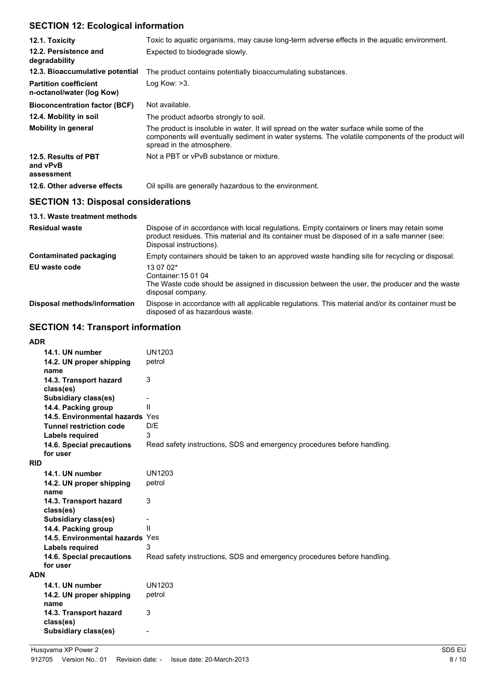## **SECTION 12: Ecological information**

| 12.1. Toxicity                                            | Toxic to aquatic organisms, may cause long-term adverse effects in the aquatic environment.                                                                                                                                |  |
|-----------------------------------------------------------|----------------------------------------------------------------------------------------------------------------------------------------------------------------------------------------------------------------------------|--|
| 12.2. Persistence and<br>degradability                    | Expected to biodegrade slowly.                                                                                                                                                                                             |  |
| 12.3. Bioaccumulative potential                           | The product contains potentially bioaccumulating substances.                                                                                                                                                               |  |
| <b>Partition coefficient</b><br>n-octanol/water (log Kow) | Log Kow: $>3$ .                                                                                                                                                                                                            |  |
| <b>Bioconcentration factor (BCF)</b>                      | Not available.                                                                                                                                                                                                             |  |
| 12.4. Mobility in soil                                    | The product adsorbs strongly to soil.                                                                                                                                                                                      |  |
| <b>Mobility in general</b>                                | The product is insoluble in water. It will spread on the water surface while some of the<br>components will eventually sediment in water systems. The volatile components of the product will<br>spread in the atmosphere. |  |
| 12.5. Results of PBT<br>and vPvB<br>assessment            | Not a PBT or vPvB substance or mixture.                                                                                                                                                                                    |  |
| 12.6. Other adverse effects                               | Oil spills are generally hazardous to the environment.                                                                                                                                                                     |  |
| <b>OFOTION 40. Blogger Lesser House Corp.</b>             |                                                                                                                                                                                                                            |  |

## **SECTION 13: Disposal considerations 13.1. Waste treatment methods**

| <b>Residual waste</b>         | Dispose of in accordance with local regulations. Empty containers or liners may retain some<br>product residues. This material and its container must be disposed of in a safe manner (see:<br>Disposal instructions). |
|-------------------------------|------------------------------------------------------------------------------------------------------------------------------------------------------------------------------------------------------------------------|
| <b>Contaminated packaging</b> | Empty containers should be taken to an approved waste handling site for recycling or disposal.                                                                                                                         |
| EU waste code                 | 13 07 02*<br>Container: 15 01 04<br>The Waste code should be assigned in discussion between the user, the producer and the waste<br>disposal company.                                                                  |
| Disposal methods/information  | Dispose in accordance with all applicable regulations. This material and/or its container must be<br>disposed of as hazardous waste.                                                                                   |

## **SECTION 14: Transport information**

| ADR        |                                 |                                                                         |
|------------|---------------------------------|-------------------------------------------------------------------------|
|            | 14.1. UN number                 | UN1203                                                                  |
|            | 14.2. UN proper shipping        | petrol                                                                  |
|            | name                            |                                                                         |
|            | 14.3. Transport hazard          | 3                                                                       |
|            | class(es)                       |                                                                         |
|            | <b>Subsidiary class(es)</b>     |                                                                         |
|            | 14.4. Packing group             | Ш                                                                       |
|            | 14.5. Environmental hazards Yes |                                                                         |
|            | <b>Tunnel restriction code</b>  | D/E                                                                     |
|            | Labels required                 | 3                                                                       |
|            | 14.6. Special precautions       | Read safety instructions, SDS and emergency procedures before handling. |
|            | for user                        |                                                                         |
| <b>RID</b> |                                 |                                                                         |
|            | 14.1. UN number                 | UN1203                                                                  |
|            | 14.2. UN proper shipping        | petrol                                                                  |
|            | name                            |                                                                         |
|            | 14.3. Transport hazard          | 3                                                                       |
|            | class(es)                       |                                                                         |
|            | <b>Subsidiary class(es)</b>     |                                                                         |
|            | 14.4. Packing group             | Ш                                                                       |
|            | 14.5. Environmental hazards Yes |                                                                         |
|            | Labels required                 | 3                                                                       |
|            | 14.6. Special precautions       | Read safety instructions, SDS and emergency procedures before handling. |
|            | for user                        |                                                                         |
| ADN        |                                 |                                                                         |
|            | 14.1. UN number                 | <b>UN1203</b>                                                           |
|            | 14.2. UN proper shipping        | petrol                                                                  |
|            | name                            |                                                                         |
|            | 14.3. Transport hazard          | 3                                                                       |
|            | class(es)                       |                                                                         |
|            | <b>Subsidiary class(es)</b>     |                                                                         |
|            |                                 |                                                                         |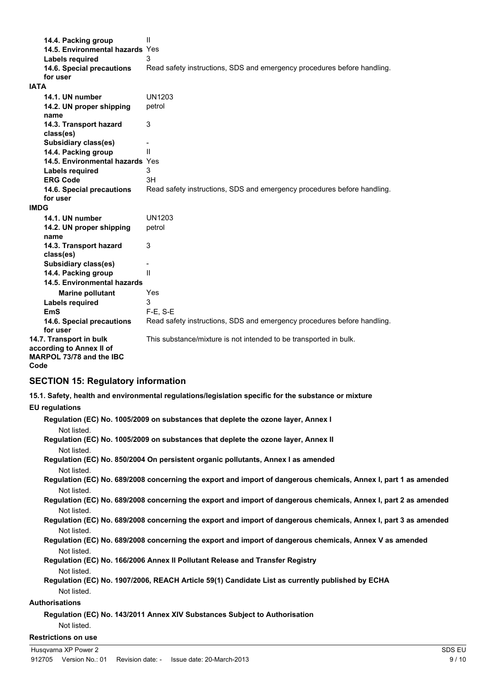| 14.4. Packing group<br>14.5. Environmental hazards Yes<br>Labels required<br>14.6. Special precautions<br>for user | Ш<br>3<br>Read safety instructions, SDS and emergency procedures before handling. |
|--------------------------------------------------------------------------------------------------------------------|-----------------------------------------------------------------------------------|
| <b>IATA</b>                                                                                                        |                                                                                   |
| 14.1. UN number                                                                                                    | UN1203                                                                            |
| 14.2. UN proper shipping<br>name                                                                                   | petrol                                                                            |
| 14.3. Transport hazard<br>class(es)                                                                                | 3                                                                                 |
| <b>Subsidiary class(es)</b>                                                                                        |                                                                                   |
| 14.4. Packing group                                                                                                | $\mathsf{II}$                                                                     |
| 14.5. Environmental hazards Yes                                                                                    |                                                                                   |
| Labels required                                                                                                    | 3                                                                                 |
| <b>ERG Code</b>                                                                                                    | 3H                                                                                |
| 14.6. Special precautions                                                                                          | Read safety instructions, SDS and emergency procedures before handling.           |
| for user                                                                                                           |                                                                                   |
| <b>IMDG</b>                                                                                                        |                                                                                   |
| 14.1. UN number                                                                                                    | UN1203                                                                            |
| 14.2. UN proper shipping<br>name                                                                                   | petrol                                                                            |
| 14.3. Transport hazard<br>class(es)                                                                                | 3                                                                                 |
| <b>Subsidiary class(es)</b>                                                                                        |                                                                                   |
| 14.4. Packing group                                                                                                | Ш                                                                                 |
| 14.5. Environmental hazards                                                                                        |                                                                                   |
| <b>Marine pollutant</b>                                                                                            | Yes                                                                               |
| <b>Labels required</b>                                                                                             | 3                                                                                 |
| <b>EmS</b>                                                                                                         | $F-E$ , S-E                                                                       |
| 14.6. Special precautions<br>for user                                                                              | Read safety instructions, SDS and emergency procedures before handling.           |
| 14.7. Transport in bulk<br>according to Annex II of<br>MARPOL 73/78 and the IBC<br>Code                            | This substance/mixture is not intended to be transported in bulk.                 |

## **SECTION 15: Regulatory information**

**15.1. Safety, health and environmental regulations/legislation specific for the substance or mixture**

## **EU regulations**

| Regulation (EC) No. 1005/2009 on substances that deplete the ozone layer, Annex I                                |
|------------------------------------------------------------------------------------------------------------------|
| Not listed.                                                                                                      |
| Regulation (EC) No. 1005/2009 on substances that deplete the ozone layer, Annex II                               |
| Not listed.                                                                                                      |
| Regulation (EC) No. 850/2004 On persistent organic pollutants, Annex I as amended                                |
| Not listed.                                                                                                      |
| Regulation (EC) No. 689/2008 concerning the export and import of dangerous chemicals, Annex I, part 1 as amended |
| Not listed.                                                                                                      |
| Regulation (EC) No. 689/2008 concerning the export and import of dangerous chemicals, Annex I, part 2 as amended |
| Not listed.                                                                                                      |
| Regulation (EC) No. 689/2008 concerning the export and import of dangerous chemicals, Annex I, part 3 as amended |
| Not listed.                                                                                                      |
| Regulation (EC) No. 689/2008 concerning the export and import of dangerous chemicals, Annex V as amended         |
| Not listed.                                                                                                      |
| Regulation (EC) No. 166/2006 Annex II Pollutant Release and Transfer Registry                                    |
| Not listed.                                                                                                      |
| Regulation (EC) No. 1907/2006, REACH Article 59(1) Candidate List as currently published by ECHA                 |
| Not listed.                                                                                                      |
| Authorisations                                                                                                   |
| Regulation (EC) No. 143/2011 Annex XIV Substances Subject to Authorisation                                       |
| Not listed.                                                                                                      |
| <b>Restrictions on use</b>                                                                                       |
|                                                                                                                  |